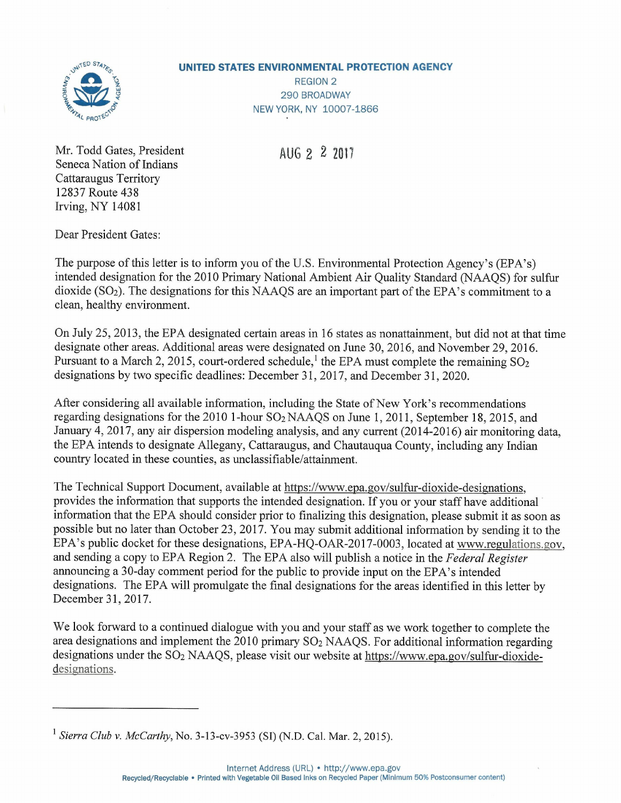

## **UNITED STATES ENVIRONMENTAL PROTECTION AGENCY**

REGION 2 290 BROADWAY NEW YORK, NY 10007-1866

AUG 2 2 **2017**

Mr. Todd Gates, President Seneca Nation of Indians Cattaraugus Territory 12837 Route 438 Irving, NY 14081

Dear President Gates:

The purpose of this letter is to inform you of the U.S. Environmental Protection Agency's (EPA's) intended designation for the 2010 Primary National Ambient Air Quality Standard (NAAQS) for sulfur dioxide ( $SO<sub>2</sub>$ ). The designations for this NAAQS are an important part of the EPA's commitment to a clean, healthy environment.

On July 25,2013, the EPA designated certain areas in 16 states as nonattainment, but did not at that time designate other areas. Additional areas were designated on June 30, 2016, and November 29,2016. Pursuant to a March 2, 2015, court-ordered schedule,<sup>1</sup> the EPA must complete the remaining  $SO_2$ designations by two specific deadlines: December 31, 2017, and December 31, 2020.

After considering all available information, including the State of New York's recommendations regarding designations for the 2010 I-hour S02 NAAQS on June 1,2011, September 18, 2015, and January 4, 2017, any air dispersion modeling analysis, and any current (2014-2016) air monitoring data, the EPA intends to designate Allegany, Cattaraugus, and Chautauqua County, including any Indian country located in these counties, as unclassifiable/attainment.

The Technical Support Document, available at https://www.epa.gov/sulfur-dioxide-designations, provides the information that supports the intended designation. If you or your staff have additional information that the EPA should consider prior to finalizing this designation, please submit it as soon as possible but no later than October 23, 2017 . You may submit additional information by sending it to the EPA's public docket for these designations, EPA-HQ-OAR-2017-0003, located at www.regulations.gov, and sending a copy to EPA Region 2. The EPA also will publish a notice in the *Federal Register* announcing a 30-day comment period for the public to provide input on the EPA's intended designations. The EPA will promulgate the final designations for the areas identified in this letter by December 31, 2017.

We look forward to a continued dialogue with you and your staff as we work together to complete the area designations and implement the 2010 primary  $SO<sub>2</sub> NAAQS$ . For additional information regarding designations under the  $SO_2$  NAAQS, please visit our website at https://www.epa.gov/sulfur-dioxidedesignations.

<sup>1</sup> *Sierra Club* v. *McCarthy,* No. 3-13-cv-3953 (SI) (N.D. Cal. Mar. 2, 2015).